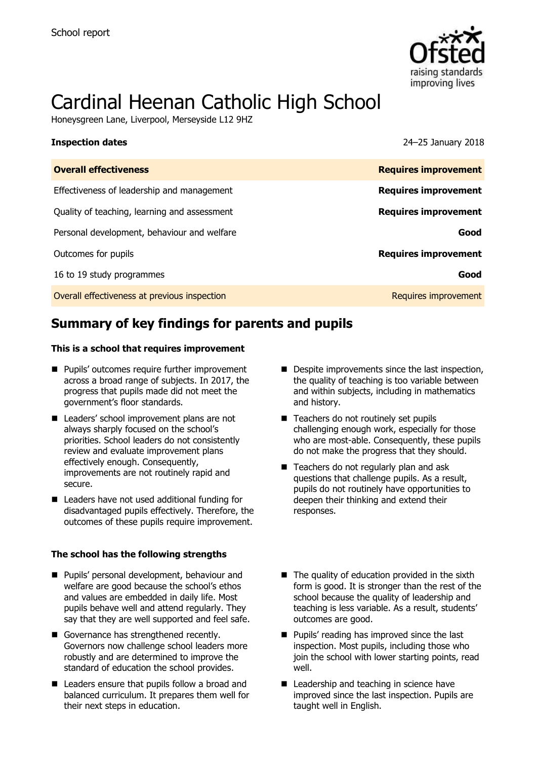

# Cardinal Heenan Catholic High School

Honeysgreen Lane, Liverpool, Merseyside L12 9HZ

**Inspection dates** 24–25 January 2018

| <b>Requires improvement</b> |
|-----------------------------|
| <b>Requires improvement</b> |
| <b>Requires improvement</b> |
| Good                        |
| <b>Requires improvement</b> |
| Good                        |
| <b>Requires improvement</b> |
|                             |

# **Summary of key findings for parents and pupils**

### **This is a school that requires improvement**

- Pupils' outcomes require further improvement across a broad range of subjects. In 2017, the progress that pupils made did not meet the government's floor standards.
- Leaders' school improvement plans are not always sharply focused on the school's priorities. School leaders do not consistently review and evaluate improvement plans effectively enough. Consequently, improvements are not routinely rapid and secure.
- Leaders have not used additional funding for disadvantaged pupils effectively. Therefore, the outcomes of these pupils require improvement.

### **The school has the following strengths**

- **Pupils' personal development, behaviour and** welfare are good because the school's ethos and values are embedded in daily life. Most pupils behave well and attend regularly. They say that they are well supported and feel safe.
- Governance has strengthened recently. Governors now challenge school leaders more robustly and are determined to improve the standard of education the school provides.
- Leaders ensure that pupils follow a broad and balanced curriculum. It prepares them well for their next steps in education.
- $\blacksquare$  Despite improvements since the last inspection, the quality of teaching is too variable between and within subjects, including in mathematics and history.
- Teachers do not routinely set pupils challenging enough work, especially for those who are most-able. Consequently, these pupils do not make the progress that they should.
- Teachers do not regularly plan and ask questions that challenge pupils. As a result, pupils do not routinely have opportunities to deepen their thinking and extend their responses.
- The quality of education provided in the sixth form is good. It is stronger than the rest of the school because the quality of leadership and teaching is less variable. As a result, students' outcomes are good.
- **Pupils' reading has improved since the last** inspection. Most pupils, including those who join the school with lower starting points, read well.
- Leadership and teaching in science have improved since the last inspection. Pupils are taught well in English.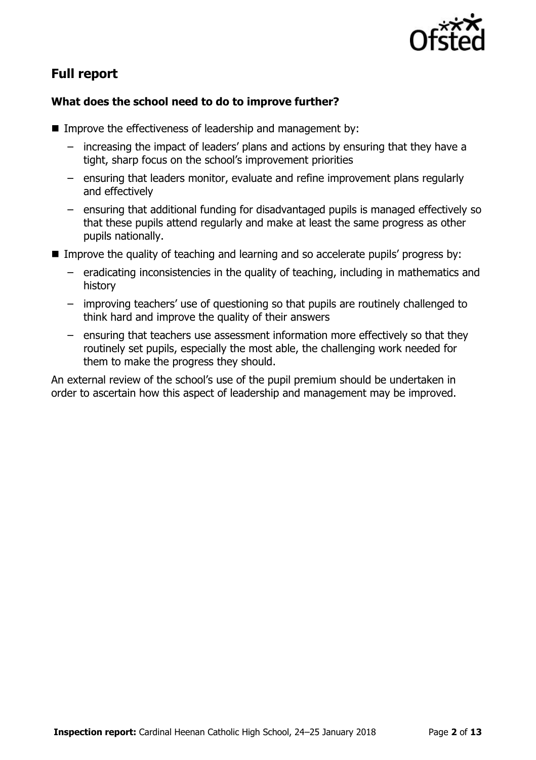

# **Full report**

### **What does the school need to do to improve further?**

- Improve the effectiveness of leadership and management by:
	- increasing the impact of leaders' plans and actions by ensuring that they have a tight, sharp focus on the school's improvement priorities
	- ensuring that leaders monitor, evaluate and refine improvement plans regularly and effectively
	- ensuring that additional funding for disadvantaged pupils is managed effectively so that these pupils attend regularly and make at least the same progress as other pupils nationally.
- Improve the quality of teaching and learning and so accelerate pupils' progress by:
	- eradicating inconsistencies in the quality of teaching, including in mathematics and history
	- improving teachers' use of questioning so that pupils are routinely challenged to think hard and improve the quality of their answers
	- ensuring that teachers use assessment information more effectively so that they routinely set pupils, especially the most able, the challenging work needed for them to make the progress they should.

An external review of the school's use of the pupil premium should be undertaken in order to ascertain how this aspect of leadership and management may be improved.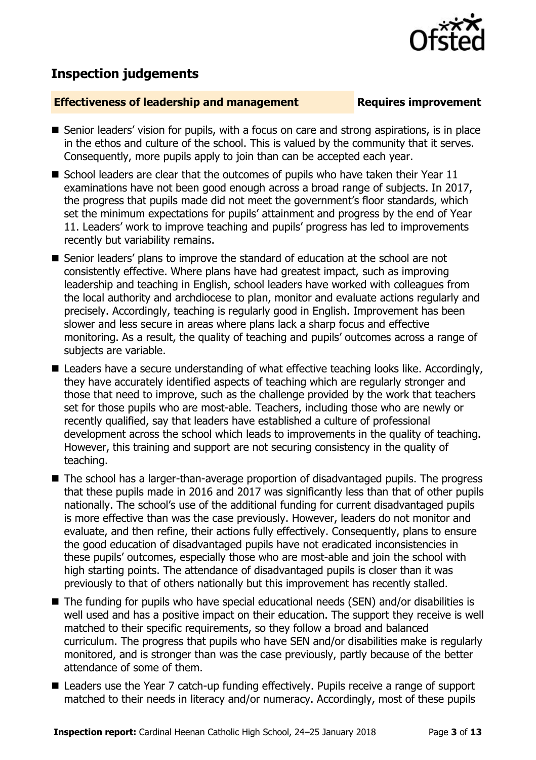# **Inspection judgements**

### **Effectiveness of leadership and management Requires improvement**

- Senior leaders' vision for pupils, with a focus on care and strong aspirations, is in place in the ethos and culture of the school. This is valued by the community that it serves. Consequently, more pupils apply to join than can be accepted each year.
- School leaders are clear that the outcomes of pupils who have taken their Year 11 examinations have not been good enough across a broad range of subjects. In 2017, the progress that pupils made did not meet the government's floor standards, which set the minimum expectations for pupils' attainment and progress by the end of Year 11. Leaders' work to improve teaching and pupils' progress has led to improvements recently but variability remains.
- Senior leaders' plans to improve the standard of education at the school are not consistently effective. Where plans have had greatest impact, such as improving leadership and teaching in English, school leaders have worked with colleagues from the local authority and archdiocese to plan, monitor and evaluate actions regularly and precisely. Accordingly, teaching is regularly good in English. Improvement has been slower and less secure in areas where plans lack a sharp focus and effective monitoring. As a result, the quality of teaching and pupils' outcomes across a range of subjects are variable.
- Leaders have a secure understanding of what effective teaching looks like. Accordingly, they have accurately identified aspects of teaching which are regularly stronger and those that need to improve, such as the challenge provided by the work that teachers set for those pupils who are most-able. Teachers, including those who are newly or recently qualified, say that leaders have established a culture of professional development across the school which leads to improvements in the quality of teaching. However, this training and support are not securing consistency in the quality of teaching.
- The school has a larger-than-average proportion of disadvantaged pupils. The progress that these pupils made in 2016 and 2017 was significantly less than that of other pupils nationally. The school's use of the additional funding for current disadvantaged pupils is more effective than was the case previously. However, leaders do not monitor and evaluate, and then refine, their actions fully effectively. Consequently, plans to ensure the good education of disadvantaged pupils have not eradicated inconsistencies in these pupils' outcomes, especially those who are most-able and join the school with high starting points. The attendance of disadvantaged pupils is closer than it was previously to that of others nationally but this improvement has recently stalled.
- The funding for pupils who have special educational needs (SEN) and/or disabilities is well used and has a positive impact on their education. The support they receive is well matched to their specific requirements, so they follow a broad and balanced curriculum. The progress that pupils who have SEN and/or disabilities make is regularly monitored, and is stronger than was the case previously, partly because of the better attendance of some of them.
- Leaders use the Year 7 catch-up funding effectively. Pupils receive a range of support matched to their needs in literacy and/or numeracy. Accordingly, most of these pupils

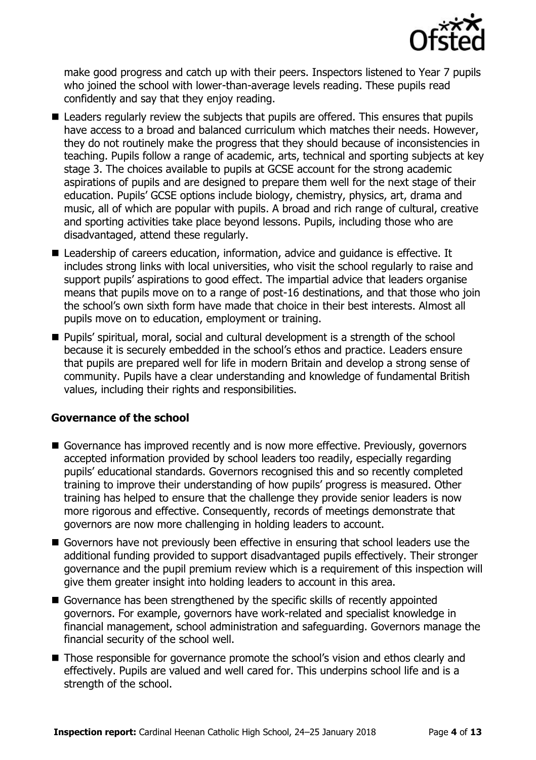

make good progress and catch up with their peers. Inspectors listened to Year 7 pupils who joined the school with lower-than-average levels reading. These pupils read confidently and say that they enjoy reading.

- Leaders regularly review the subjects that pupils are offered. This ensures that pupils have access to a broad and balanced curriculum which matches their needs. However, they do not routinely make the progress that they should because of inconsistencies in teaching. Pupils follow a range of academic, arts, technical and sporting subjects at key stage 3. The choices available to pupils at GCSE account for the strong academic aspirations of pupils and are designed to prepare them well for the next stage of their education. Pupils' GCSE options include biology, chemistry, physics, art, drama and music, all of which are popular with pupils. A broad and rich range of cultural, creative and sporting activities take place beyond lessons. Pupils, including those who are disadvantaged, attend these regularly.
- Leadership of careers education, information, advice and guidance is effective. It includes strong links with local universities, who visit the school regularly to raise and support pupils' aspirations to good effect. The impartial advice that leaders organise means that pupils move on to a range of post-16 destinations, and that those who join the school's own sixth form have made that choice in their best interests. Almost all pupils move on to education, employment or training.
- Pupils' spiritual, moral, social and cultural development is a strength of the school because it is securely embedded in the school's ethos and practice. Leaders ensure that pupils are prepared well for life in modern Britain and develop a strong sense of community. Pupils have a clear understanding and knowledge of fundamental British values, including their rights and responsibilities.

### **Governance of the school**

- Governance has improved recently and is now more effective. Previously, governors accepted information provided by school leaders too readily, especially regarding pupils' educational standards. Governors recognised this and so recently completed training to improve their understanding of how pupils' progress is measured. Other training has helped to ensure that the challenge they provide senior leaders is now more rigorous and effective. Consequently, records of meetings demonstrate that governors are now more challenging in holding leaders to account.
- Governors have not previously been effective in ensuring that school leaders use the additional funding provided to support disadvantaged pupils effectively. Their stronger governance and the pupil premium review which is a requirement of this inspection will give them greater insight into holding leaders to account in this area.
- Governance has been strengthened by the specific skills of recently appointed governors. For example, governors have work-related and specialist knowledge in financial management, school administration and safeguarding. Governors manage the financial security of the school well.
- Those responsible for governance promote the school's vision and ethos clearly and effectively. Pupils are valued and well cared for. This underpins school life and is a strength of the school.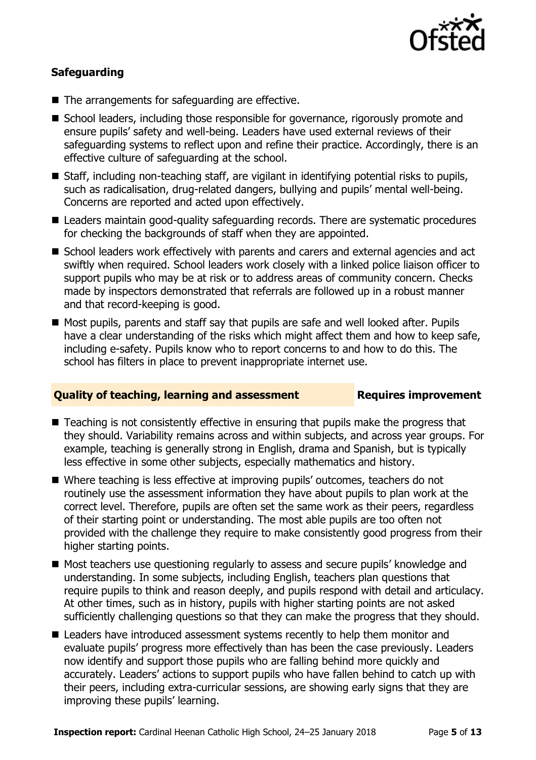

### **Safeguarding**

- The arrangements for safeguarding are effective.
- School leaders, including those responsible for governance, rigorously promote and ensure pupils' safety and well-being. Leaders have used external reviews of their safeguarding systems to reflect upon and refine their practice. Accordingly, there is an effective culture of safeguarding at the school.
- Staff, including non-teaching staff, are vigilant in identifying potential risks to pupils, such as radicalisation, drug-related dangers, bullying and pupils' mental well-being. Concerns are reported and acted upon effectively.
- Leaders maintain good-quality safeguarding records. There are systematic procedures for checking the backgrounds of staff when they are appointed.
- School leaders work effectively with parents and carers and external agencies and act swiftly when required. School leaders work closely with a linked police liaison officer to support pupils who may be at risk or to address areas of community concern. Checks made by inspectors demonstrated that referrals are followed up in a robust manner and that record-keeping is good.
- Most pupils, parents and staff say that pupils are safe and well looked after. Pupils have a clear understanding of the risks which might affect them and how to keep safe, including e-safety. Pupils know who to report concerns to and how to do this. The school has filters in place to prevent inappropriate internet use.

### **Quality of teaching, learning and assessment Fig. 2.1 Requires improvement**

- Teaching is not consistently effective in ensuring that pupils make the progress that they should. Variability remains across and within subjects, and across year groups. For example, teaching is generally strong in English, drama and Spanish, but is typically less effective in some other subjects, especially mathematics and history.
- Where teaching is less effective at improving pupils' outcomes, teachers do not routinely use the assessment information they have about pupils to plan work at the correct level. Therefore, pupils are often set the same work as their peers, regardless of their starting point or understanding. The most able pupils are too often not provided with the challenge they require to make consistently good progress from their higher starting points.
- Most teachers use questioning regularly to assess and secure pupils' knowledge and understanding. In some subjects, including English, teachers plan questions that require pupils to think and reason deeply, and pupils respond with detail and articulacy. At other times, such as in history, pupils with higher starting points are not asked sufficiently challenging questions so that they can make the progress that they should.
- Leaders have introduced assessment systems recently to help them monitor and evaluate pupils' progress more effectively than has been the case previously. Leaders now identify and support those pupils who are falling behind more quickly and accurately. Leaders' actions to support pupils who have fallen behind to catch up with their peers, including extra-curricular sessions, are showing early signs that they are improving these pupils' learning.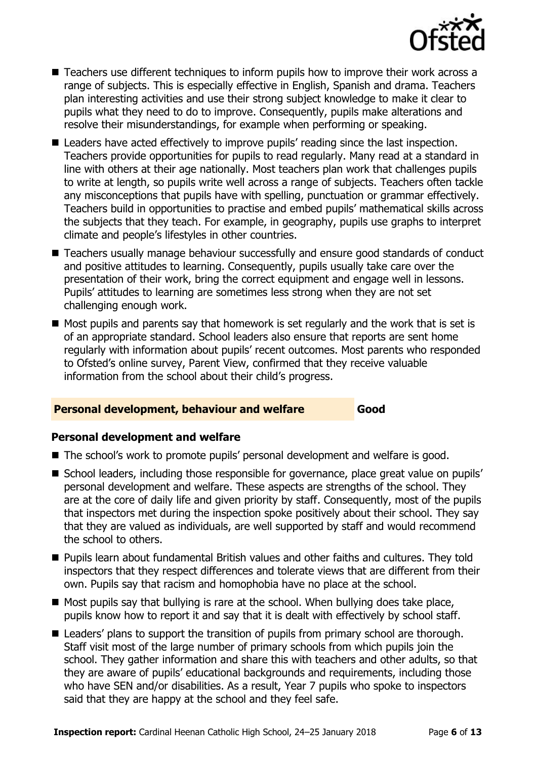

- Teachers use different techniques to inform pupils how to improve their work across a range of subjects. This is especially effective in English, Spanish and drama. Teachers plan interesting activities and use their strong subject knowledge to make it clear to pupils what they need to do to improve. Consequently, pupils make alterations and resolve their misunderstandings, for example when performing or speaking.
- Leaders have acted effectively to improve pupils' reading since the last inspection. Teachers provide opportunities for pupils to read regularly. Many read at a standard in line with others at their age nationally. Most teachers plan work that challenges pupils to write at length, so pupils write well across a range of subjects. Teachers often tackle any misconceptions that pupils have with spelling, punctuation or grammar effectively. Teachers build in opportunities to practise and embed pupils' mathematical skills across the subjects that they teach. For example, in geography, pupils use graphs to interpret climate and people's lifestyles in other countries.
- Teachers usually manage behaviour successfully and ensure good standards of conduct and positive attitudes to learning. Consequently, pupils usually take care over the presentation of their work, bring the correct equipment and engage well in lessons. Pupils' attitudes to learning are sometimes less strong when they are not set challenging enough work.
- $\blacksquare$  Most pupils and parents say that homework is set regularly and the work that is set is of an appropriate standard. School leaders also ensure that reports are sent home regularly with information about pupils' recent outcomes. Most parents who responded to Ofsted's online survey, Parent View, confirmed that they receive valuable information from the school about their child's progress.

### **Personal development, behaviour and welfare Good**

### **Personal development and welfare**

- The school's work to promote pupils' personal development and welfare is good.
- School leaders, including those responsible for governance, place great value on pupils' personal development and welfare. These aspects are strengths of the school. They are at the core of daily life and given priority by staff. Consequently, most of the pupils that inspectors met during the inspection spoke positively about their school. They say that they are valued as individuals, are well supported by staff and would recommend the school to others.
- Pupils learn about fundamental British values and other faiths and cultures. They told inspectors that they respect differences and tolerate views that are different from their own. Pupils say that racism and homophobia have no place at the school.
- $\blacksquare$  Most pupils say that bullying is rare at the school. When bullying does take place, pupils know how to report it and say that it is dealt with effectively by school staff.
- Leaders' plans to support the transition of pupils from primary school are thorough. Staff visit most of the large number of primary schools from which pupils join the school. They gather information and share this with teachers and other adults, so that they are aware of pupils' educational backgrounds and requirements, including those who have SEN and/or disabilities. As a result, Year 7 pupils who spoke to inspectors said that they are happy at the school and they feel safe.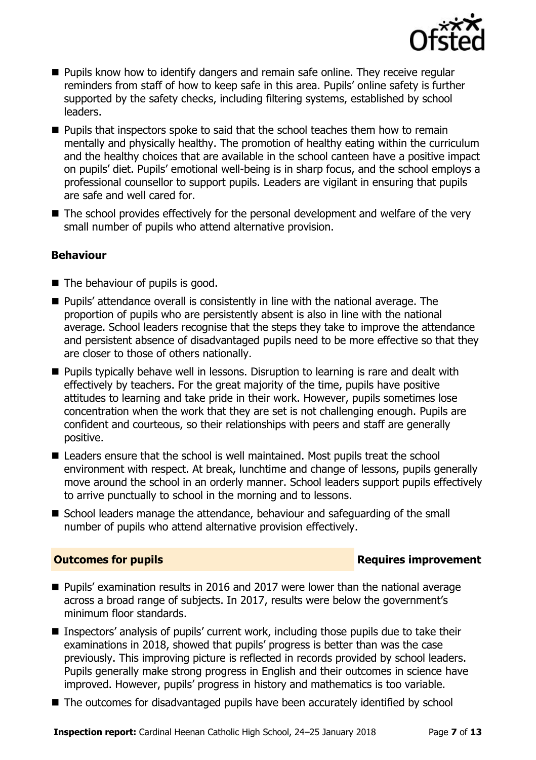

- **Pupils know how to identify dangers and remain safe online. They receive regular** reminders from staff of how to keep safe in this area. Pupils' online safety is further supported by the safety checks, including filtering systems, established by school leaders.
- $\blacksquare$  Pupils that inspectors spoke to said that the school teaches them how to remain mentally and physically healthy. The promotion of healthy eating within the curriculum and the healthy choices that are available in the school canteen have a positive impact on pupils' diet. Pupils' emotional well-being is in sharp focus, and the school employs a professional counsellor to support pupils. Leaders are vigilant in ensuring that pupils are safe and well cared for.
- The school provides effectively for the personal development and welfare of the very small number of pupils who attend alternative provision.

### **Behaviour**

- $\blacksquare$  The behaviour of pupils is good.
- Pupils' attendance overall is consistently in line with the national average. The proportion of pupils who are persistently absent is also in line with the national average. School leaders recognise that the steps they take to improve the attendance and persistent absence of disadvantaged pupils need to be more effective so that they are closer to those of others nationally.
- **Pupils typically behave well in lessons. Disruption to learning is rare and dealt with** effectively by teachers. For the great majority of the time, pupils have positive attitudes to learning and take pride in their work. However, pupils sometimes lose concentration when the work that they are set is not challenging enough. Pupils are confident and courteous, so their relationships with peers and staff are generally positive.
- Leaders ensure that the school is well maintained. Most pupils treat the school environment with respect. At break, lunchtime and change of lessons, pupils generally move around the school in an orderly manner. School leaders support pupils effectively to arrive punctually to school in the morning and to lessons.
- School leaders manage the attendance, behaviour and safeguarding of the small number of pupils who attend alternative provision effectively.

### **Outcomes for pupils Requires improvement**

- Pupils' examination results in 2016 and 2017 were lower than the national average across a broad range of subjects. In 2017, results were below the government's minimum floor standards.
- Inspectors' analysis of pupils' current work, including those pupils due to take their examinations in 2018, showed that pupils' progress is better than was the case previously. This improving picture is reflected in records provided by school leaders. Pupils generally make strong progress in English and their outcomes in science have improved. However, pupils' progress in history and mathematics is too variable.
- The outcomes for disadvantaged pupils have been accurately identified by school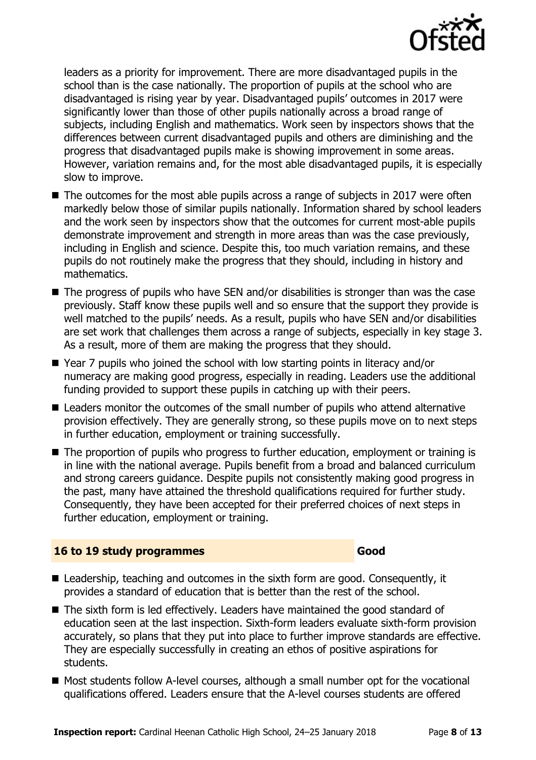

leaders as a priority for improvement. There are more disadvantaged pupils in the school than is the case nationally. The proportion of pupils at the school who are disadvantaged is rising year by year. Disadvantaged pupils' outcomes in 2017 were significantly lower than those of other pupils nationally across a broad range of subjects, including English and mathematics. Work seen by inspectors shows that the differences between current disadvantaged pupils and others are diminishing and the progress that disadvantaged pupils make is showing improvement in some areas. However, variation remains and, for the most able disadvantaged pupils, it is especially slow to improve.

- The outcomes for the most able pupils across a range of subjects in 2017 were often markedly below those of similar pupils nationally. Information shared by school leaders and the work seen by inspectors show that the outcomes for current most-able pupils demonstrate improvement and strength in more areas than was the case previously, including in English and science. Despite this, too much variation remains, and these pupils do not routinely make the progress that they should, including in history and mathematics.
- The progress of pupils who have SEN and/or disabilities is stronger than was the case previously. Staff know these pupils well and so ensure that the support they provide is well matched to the pupils' needs. As a result, pupils who have SEN and/or disabilities are set work that challenges them across a range of subjects, especially in key stage 3. As a result, more of them are making the progress that they should.
- Year 7 pupils who joined the school with low starting points in literacy and/or numeracy are making good progress, especially in reading. Leaders use the additional funding provided to support these pupils in catching up with their peers.
- Leaders monitor the outcomes of the small number of pupils who attend alternative provision effectively. They are generally strong, so these pupils move on to next steps in further education, employment or training successfully.
- The proportion of pupils who progress to further education, employment or training is in line with the national average. Pupils benefit from a broad and balanced curriculum and strong careers guidance. Despite pupils not consistently making good progress in the past, many have attained the threshold qualifications required for further study. Consequently, they have been accepted for their preferred choices of next steps in further education, employment or training.

### **16 to 19 study programmes Good**

- Leadership, teaching and outcomes in the sixth form are good. Consequently, it provides a standard of education that is better than the rest of the school.
- The sixth form is led effectively. Leaders have maintained the good standard of education seen at the last inspection. Sixth-form leaders evaluate sixth-form provision accurately, so plans that they put into place to further improve standards are effective. They are especially successfully in creating an ethos of positive aspirations for students.
- Most students follow A-level courses, although a small number opt for the vocational qualifications offered. Leaders ensure that the A-level courses students are offered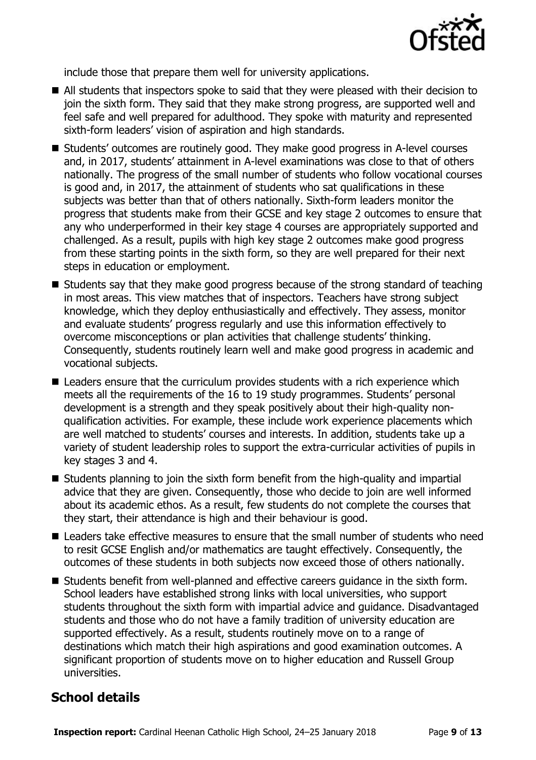

include those that prepare them well for university applications.

- All students that inspectors spoke to said that they were pleased with their decision to join the sixth form. They said that they make strong progress, are supported well and feel safe and well prepared for adulthood. They spoke with maturity and represented sixth-form leaders' vision of aspiration and high standards.
- Students' outcomes are routinely good. They make good progress in A-level courses and, in 2017, students' attainment in A-level examinations was close to that of others nationally. The progress of the small number of students who follow vocational courses is good and, in 2017, the attainment of students who sat qualifications in these subjects was better than that of others nationally. Sixth-form leaders monitor the progress that students make from their GCSE and key stage 2 outcomes to ensure that any who underperformed in their key stage 4 courses are appropriately supported and challenged. As a result, pupils with high key stage 2 outcomes make good progress from these starting points in the sixth form, so they are well prepared for their next steps in education or employment.
- Students say that they make good progress because of the strong standard of teaching in most areas. This view matches that of inspectors. Teachers have strong subject knowledge, which they deploy enthusiastically and effectively. They assess, monitor and evaluate students' progress regularly and use this information effectively to overcome misconceptions or plan activities that challenge students' thinking. Consequently, students routinely learn well and make good progress in academic and vocational subjects.
- Leaders ensure that the curriculum provides students with a rich experience which meets all the requirements of the 16 to 19 study programmes. Students' personal development is a strength and they speak positively about their high-quality nonqualification activities. For example, these include work experience placements which are well matched to students' courses and interests. In addition, students take up a variety of student leadership roles to support the extra-curricular activities of pupils in key stages 3 and 4.
- Students planning to join the sixth form benefit from the high-quality and impartial advice that they are given. Consequently, those who decide to join are well informed about its academic ethos. As a result, few students do not complete the courses that they start, their attendance is high and their behaviour is good.
- Leaders take effective measures to ensure that the small number of students who need to resit GCSE English and/or mathematics are taught effectively. Consequently, the outcomes of these students in both subjects now exceed those of others nationally.
- Students benefit from well-planned and effective careers guidance in the sixth form. School leaders have established strong links with local universities, who support students throughout the sixth form with impartial advice and guidance. Disadvantaged students and those who do not have a family tradition of university education are supported effectively. As a result, students routinely move on to a range of destinations which match their high aspirations and good examination outcomes. A significant proportion of students move on to higher education and Russell Group universities.

## **School details**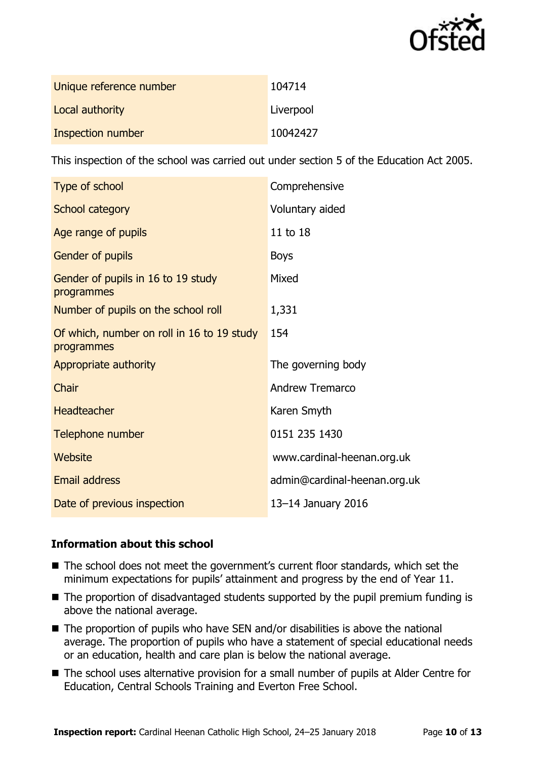

| Unique reference number | 104714    |
|-------------------------|-----------|
| Local authority         | Liverpool |
| Inspection number       | 10042427  |

This inspection of the school was carried out under section 5 of the Education Act 2005.

| Type of school                                           | Comprehensive                |
|----------------------------------------------------------|------------------------------|
| School category                                          | Voluntary aided              |
| Age range of pupils                                      | 11 to 18                     |
| Gender of pupils                                         | <b>Boys</b>                  |
| Gender of pupils in 16 to 19 study<br>programmes         | Mixed                        |
| Number of pupils on the school roll                      | 1,331                        |
| Of which, number on roll in 16 to 19 study<br>programmes | 154                          |
| Appropriate authority                                    | The governing body           |
| Chair                                                    | <b>Andrew Tremarco</b>       |
| <b>Headteacher</b>                                       | Karen Smyth                  |
| Telephone number                                         | 0151 235 1430                |
| Website                                                  | www.cardinal-heenan.org.uk   |
| <b>Email address</b>                                     | admin@cardinal-heenan.org.uk |
| Date of previous inspection                              | 13-14 January 2016           |

### **Information about this school**

- The school does not meet the government's current floor standards, which set the minimum expectations for pupils' attainment and progress by the end of Year 11.
- The proportion of disadvantaged students supported by the pupil premium funding is above the national average.
- $\blacksquare$  The proportion of pupils who have SEN and/or disabilities is above the national average. The proportion of pupils who have a statement of special educational needs or an education, health and care plan is below the national average.
- The school uses alternative provision for a small number of pupils at Alder Centre for Education, Central Schools Training and Everton Free School.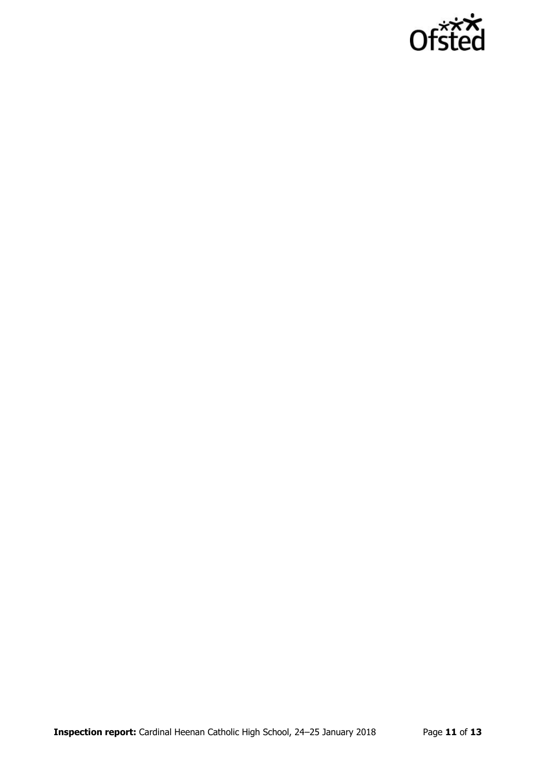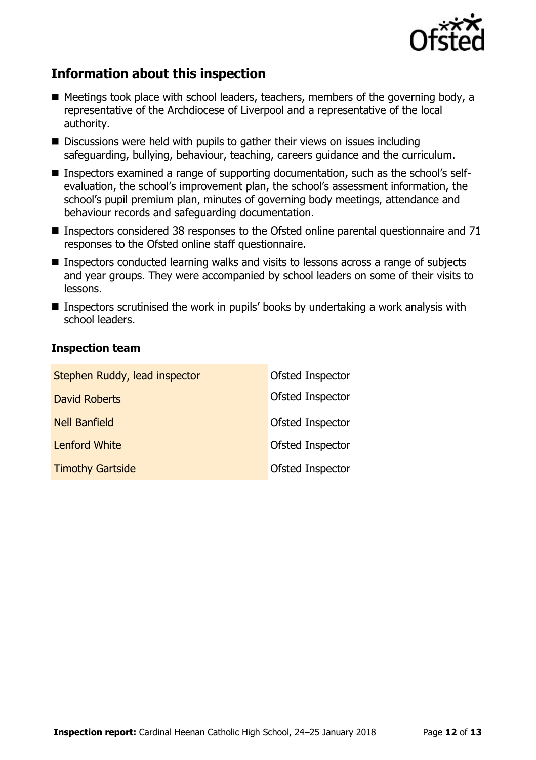

# **Information about this inspection**

- $\blacksquare$  Meetings took place with school leaders, teachers, members of the governing body, a representative of the Archdiocese of Liverpool and a representative of the local authority.
- Discussions were held with pupils to gather their views on issues including safeguarding, bullying, behaviour, teaching, careers guidance and the curriculum.
- Inspectors examined a range of supporting documentation, such as the school's selfevaluation, the school's improvement plan, the school's assessment information, the school's pupil premium plan, minutes of governing body meetings, attendance and behaviour records and safeguarding documentation.
- Inspectors considered 38 responses to the Ofsted online parental questionnaire and 71 responses to the Ofsted online staff questionnaire.
- Inspectors conducted learning walks and visits to lessons across a range of subjects and year groups. They were accompanied by school leaders on some of their visits to lessons.
- **Inspectors scrutinised the work in pupils' books by undertaking a work analysis with** school leaders.

### **Inspection team**

| Stephen Ruddy, lead inspector | Ofsted Inspector |
|-------------------------------|------------------|
| David Roberts                 | Ofsted Inspector |
| <b>Nell Banfield</b>          | Ofsted Inspector |
| Lenford White                 | Ofsted Inspector |
| <b>Timothy Gartside</b>       | Ofsted Inspector |